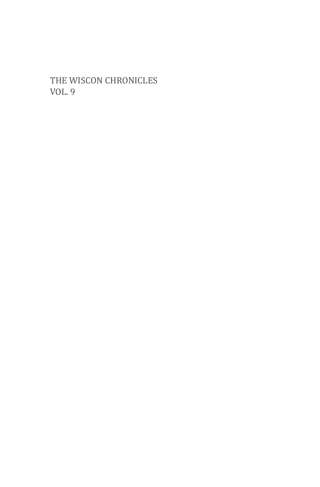the wiscon chronicles Vol. 9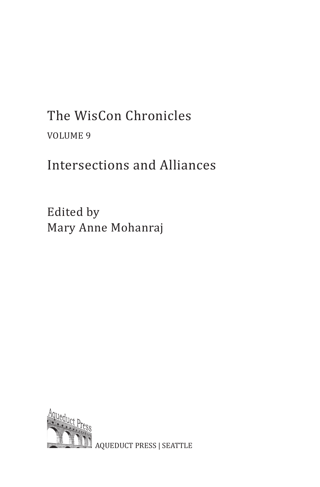# The WisCon Chronicles volume 9

## Intersections and Alliances

Edited by Mary Anne Mohanraj



aqueduct press | seattle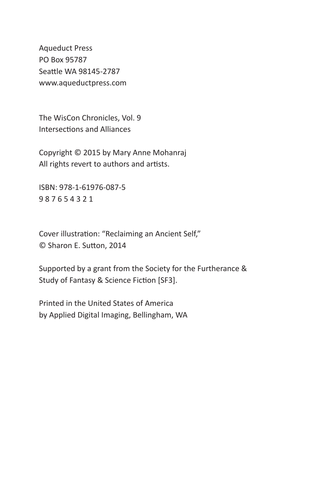Aqueduct Press PO Box 95787 Seattle wa 98145-2787 www.aqueductpress.com

The WisCon Chronicles, Vol. 9 Intersections and Alliances

Copyright © 2015 by Mary Anne Mohanraj All rights revert to authors and artists.

isbn: 978-1-61976-087-5 9 8 7 6 5 4 3 2 1

Cover illustration: "Reclaiming an Ancient Self," © Sharon E. Sutton, 2014

Supported by a grant from the Society for the Furtherance & Study of Fantasy & Science Fiction [SF3].

Printed in the United States of America by Applied Digital Imaging, Bellingham, WA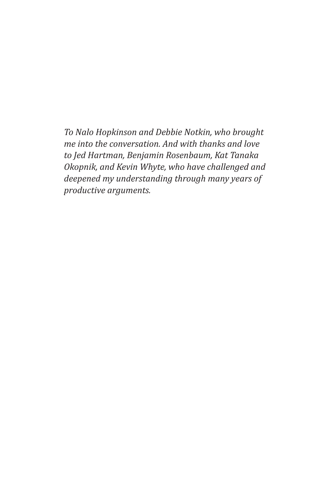*To Nalo Hopkinson and Debbie Notkin, who brought me into the conversation. And with thanks and love to Jed Hartman, Benjamin Rosenbaum, Kat Tanaka Okopnik, and Kevin Whyte, who have challenged and deepened my understanding through many years of productive arguments.*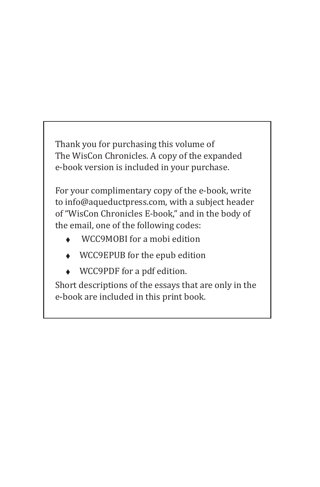Thank you for purchasing this volume of The WisCon Chronicles. A copy of the expanded e-book version is included in your purchase.

For your complimentary copy of the e-book, write to info@aqueductpress.com, with a subject header of "WisCon Chronicles E-book," and in the body of the email, one of the following codes:

- ◆ WCC9MOBI for a mobi edition
- WCC9EPUB for the epub edition
- WCC9PDF for a pdf edition.

Short descriptions of the essays that are only in the e-book are included in this print book.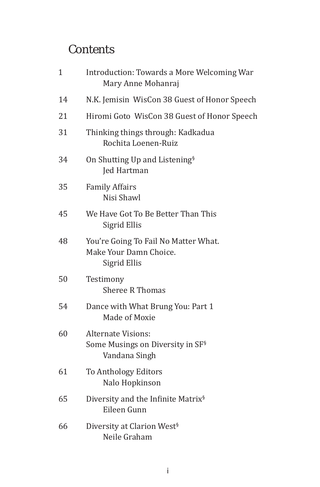#### **Contents**

| $\mathbf{1}$ | Introduction: Towards a More Welcoming War<br>Mary Anne Mohanraj                           |
|--------------|--------------------------------------------------------------------------------------------|
| 14           | N.K. Jemisin WisCon 38 Guest of Honor Speech                                               |
| 21           | Hiromi Goto WisCon 38 Guest of Honor Speech                                                |
| 31           | Thinking things through: Kadkadua<br>Rochita Loenen-Ruiz                                   |
| 34           | On Shutting Up and Listening <sup>§</sup><br>Jed Hartman                                   |
| 35           | <b>Family Affairs</b><br>Nisi Shawl                                                        |
| 45           | We Have Got To Be Better Than This<br>Sigrid Ellis                                         |
| 48           | You're Going To Fail No Matter What.<br>Make Your Damn Choice.<br>Sigrid Ellis             |
| 50           | Testimony<br><b>Sheree R Thomas</b>                                                        |
| 54           | Dance with What Brung You: Part 1<br>Made of Moxie                                         |
| 60           | <b>Alternate Visions:</b><br>Some Musings on Diversity in SF <sup>§</sup><br>Vandana Singh |
| 61           | To Anthology Editors<br>Nalo Hopkinson                                                     |
| 65           | Diversity and the Infinite Matrix <sup>§</sup><br>Eileen Gunn                              |
| 66           | Diversity at Clarion West <sup>§</sup><br>Neile Graham                                     |
|              |                                                                                            |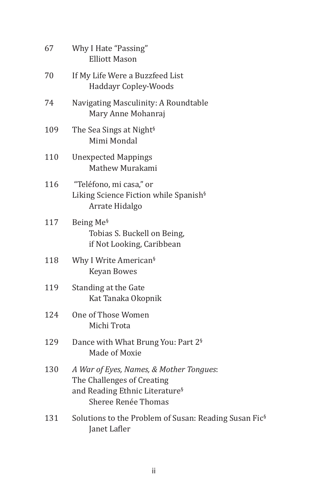| 67  | Why I Hate "Passing"<br><b>Elliott Mason</b>                                                                                               |
|-----|--------------------------------------------------------------------------------------------------------------------------------------------|
| 70  | If My Life Were a Buzzfeed List<br><b>Haddayr Copley-Woods</b>                                                                             |
| 74  | Navigating Masculinity: A Roundtable<br>Mary Anne Mohanraj                                                                                 |
| 109 | The Sea Sings at Night <sup>§</sup><br>Mimi Mondal                                                                                         |
| 110 | <b>Unexpected Mappings</b><br>Mathew Murakami                                                                                              |
| 116 | "Teléfono, mi casa," or<br>Liking Science Fiction while Spanish <sup>§</sup><br>Arrate Hidalgo                                             |
| 117 | Being Me <sup>§</sup><br>Tobias S. Buckell on Being,<br>if Not Looking, Caribbean                                                          |
| 118 | Why I Write American <sup>§</sup><br><b>Keyan Bowes</b>                                                                                    |
| 119 | Standing at the Gate<br>Kat Tanaka Okopnik                                                                                                 |
| 124 | One of Those Women<br>Michi Trota                                                                                                          |
| 129 | Dance with What Brung You: Part 2 <sup>§</sup><br>Made of Moxie                                                                            |
| 130 | A War of Eyes, Names, & Mother Tongues:<br>The Challenges of Creating<br>and Reading Ethnic Literature <sup>§</sup><br>Sheree Renée Thomas |
| 131 | Solutions to the Problem of Susan: Reading Susan Fic <sup>§</sup><br>Janet Lafler                                                          |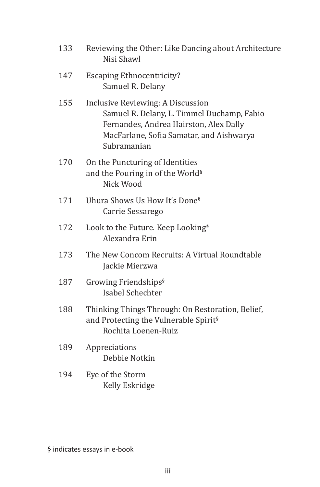| 133 | Reviewing the Other: Like Dancing about Architecture<br>Nisi Shawl                                                                                                                   |
|-----|--------------------------------------------------------------------------------------------------------------------------------------------------------------------------------------|
| 147 | <b>Escaping Ethnocentricity?</b><br>Samuel R. Delany                                                                                                                                 |
| 155 | Inclusive Reviewing: A Discussion<br>Samuel R. Delany, L. Timmel Duchamp, Fabio<br>Fernandes, Andrea Hairston, Alex Dally<br>MacFarlane, Sofia Samatar, and Aishwarya<br>Subramanian |
| 170 | On the Puncturing of Identities<br>and the Pouring in of the World <sup>§</sup><br>Nick Wood                                                                                         |
| 171 | Uhura Shows Us How It's Done <sup>§</sup><br>Carrie Sessarego                                                                                                                        |
| 172 | Look to the Future. Keep Looking <sup>§</sup><br>Alexandra Erin                                                                                                                      |
| 173 | The New Concom Recruits: A Virtual Roundtable<br>Jackie Mierzwa                                                                                                                      |
| 187 | Growing Friendships <sup>§</sup><br><b>Isabel Schechter</b>                                                                                                                          |
| 188 | Thinking Things Through: On Restoration, Belief,<br>and Protecting the Vulnerable Spirit <sup>§</sup><br>Rochita Loenen-Ruiz                                                         |
| 189 | Appreciations<br>Debbie Notkin                                                                                                                                                       |
| 194 | Eye of the Storm<br>Kelly Eskridge                                                                                                                                                   |
|     |                                                                                                                                                                                      |

§ indicates essays in e-book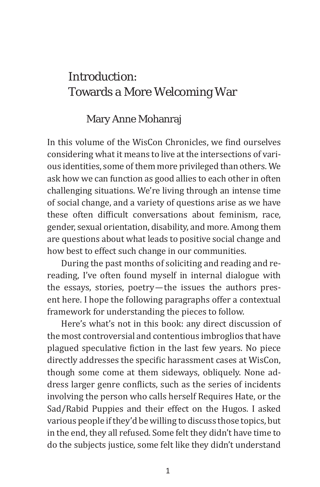#### Introduction: Towards a More Welcoming War

#### Mary Anne Mohanraj

In this volume of the WisCon Chronicles, we find ourselves considering what it means to live at the intersections of various identities, some of them more privileged than others. We ask how we can function as good allies to each other in often challenging situations. We're living through an intense time of social change, and a variety of questions arise as we have these often difficult conversations about feminism, race, gender, sexual orientation, disability, and more. Among them are questions about what leads to positive social change and how best to effect such change in our communities.

During the past months of soliciting and reading and rereading, I've often found myself in internal dialogue with the essays, stories, poetry—the issues the authors present here. I hope the following paragraphs offer a contextual framework for understanding the pieces to follow.

Here's what's not in this book: any direct discussion of the most controversial and contentious imbroglios that have plagued speculative fiction in the last few years. No piece directly addresses the specific harassment cases at WisCon, though some come at them sideways, obliquely. None address larger genre conflicts, such as the series of incidents involving the person who calls herself Requires Hate, or the Sad/Rabid Puppies and their effect on the Hugos. I asked various people if they'd be willing to discuss those topics, but in the end, they all refused. Some felt they didn't have time to do the subjects justice, some felt like they didn't understand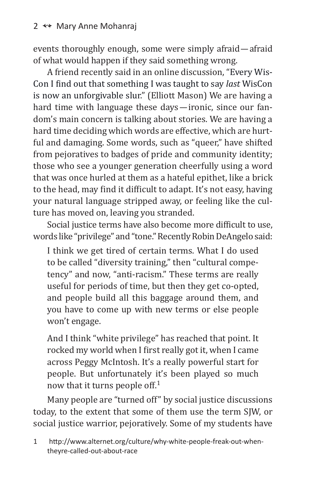events thoroughly enough, some were simply afraid—afraid of what would happen if they said something wrong.

A friend recently said in an online discussion, "Every Wis-Con I find out that something I was taught to say *last* WisCon is now an unforgivable slur." (Elliott Mason) We are having a hard time with language these days—ironic, since our fandom's main concern is talking about stories. We are having a hard time deciding which words are effective, which are hurtful and damaging. Some words, such as "queer," have shifted from pejoratives to badges of pride and community identity; those who see a younger generation cheerfully using a word that was once hurled at them as a hateful epithet, like a brick to the head, may find it difficult to adapt. It's not easy, having your natural language stripped away, or feeling like the culture has moved on, leaving you stranded.

Social justice terms have also become more difficult to use, words like "privilege" and "tone." Recently Robin DeAngelo said:

I think we get tired of certain terms. What I do used to be called "diversity training," then "cultural competency" and now, "anti-racism." These terms are really useful for periods of time, but then they get co-opted, and people build all this baggage around them, and you have to come up with new terms or else people won't engage.

And I think "white privilege" has reached that point. It rocked my world when I first really got it, when I came across Peggy McIntosh. It's a really powerful start for people. But unfortunately it's been played so much now that it turns people off.<sup>1</sup>

Many people are "turned off" by social justice discussions today, to the extent that some of them use the term SJW, or social justice warrior, pejoratively. Some of my students have

1 http://www.alternet.org/culture/why-white-people-freak-out-whentheyre-called-out-about-race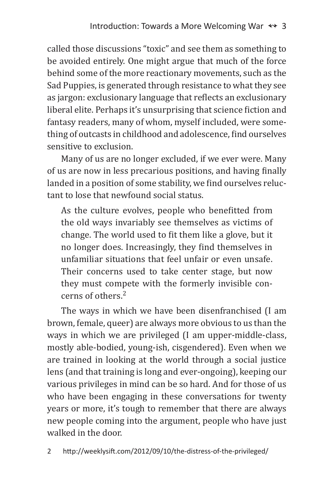called those discussions "toxic" and see them as something to be avoided entirely. One might argue that much of the force behind some of the more reactionary movements, such as the Sad Puppies, is generated through resistance to what they see as jargon: exclusionary language that reflects an exclusionary liberal elite. Perhaps it's unsurprising that science fiction and fantasy readers, many of whom, myself included, were something of outcasts in childhood and adolescence, find ourselves sensitive to exclusion.

Many of us are no longer excluded, if we ever were. Many of us are now in less precarious positions, and having finally landed in a position of some stability, we find ourselves reluctant to lose that newfound social status.

As the culture evolves, people who benefitted from the old ways invariably see themselves as victims of change. The world used to fit them like a glove, but it no longer does. Increasingly, they find themselves in unfamiliar situations that feel unfair or even unsafe. Their concerns used to take center stage, but now they must compete with the formerly invisible concerns of others.<sup>2</sup>

The ways in which we have been disenfranchised (I am brown, female, queer) are always more obvious to us than the ways in which we are privileged (I am upper-middle-class, mostly able-bodied, young-ish, cisgendered). Even when we are trained in looking at the world through a social justice lens (and that training is long and ever-ongoing), keeping our various privileges in mind can be so hard. And for those of us who have been engaging in these conversations for twenty years or more, it's tough to remember that there are always new people coming into the argument, people who have just walked in the door.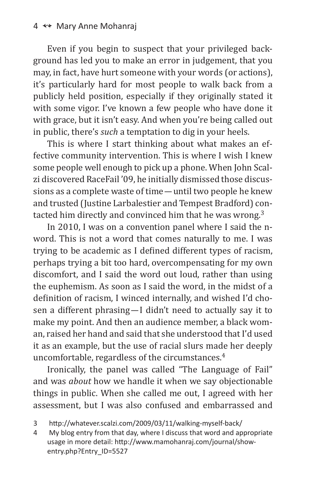Even if you begin to suspect that your privileged background has led you to make an error in judgement, that you may, in fact, have hurt someone with your words (or actions), it's particularly hard for most people to walk back from a publicly held position, especially if they originally stated it with some vigor. I've known a few people who have done it with grace, but it isn't easy. And when you're being called out in public, there's *such* a temptation to dig in your heels.

This is where I start thinking about what makes an effective community intervention. This is where I wish I knew some people well enough to pick up a phone. When John Scalzi discovered RaceFail '09, he initially dismissed those discussions as a complete waste of time—until two people he knew and trusted (Justine Larbalestier and Tempest Bradford) contacted him directly and convinced him that he was wrong.<sup>3</sup>

In 2010, I was on a convention panel where I said the nword. This is not a word that comes naturally to me. I was trying to be academic as I defined different types of racism, perhaps trying a bit too hard, overcompensating for my own discomfort, and I said the word out loud, rather than using the euphemism. As soon as I said the word, in the midst of a definition of racism, I winced internally, and wished I'd chosen a different phrasing—I didn't need to actually say it to make my point. And then an audience member, a black woman, raised her hand and said that she understood that I'd used it as an example, but the use of racial slurs made her deeply uncomfortable, regardless of the circumstances.4

Ironically, the panel was called "The Language of Fail" and was *about* how we handle it when we say objectionable things in public. When she called me out, I agreed with her assessment, but I was also confused and embarrassed and

<sup>3</sup> http://whatever.scalzi.com/2009/03/11/walking-myself-back/

<sup>4</sup> My blog entry from that day, where I discuss that word and appropriate usage in more detail: http://www.mamohanraj.com/journal/showentry.php?Entry\_ID=5527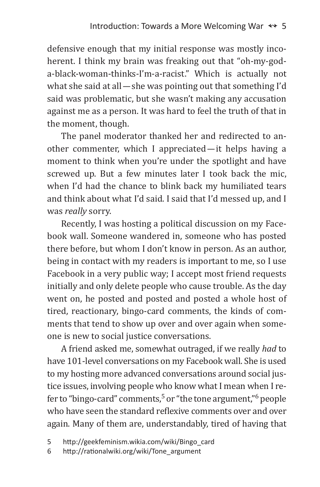defensive enough that my initial response was mostly incoherent. I think my brain was freaking out that "oh-my-goda-black-woman-thinks-I'm-a-racist." Which is actually not what she said at all—she was pointing out that something I'd said was problematic, but she wasn't making any accusation against me as a person. It was hard to feel the truth of that in the moment, though.

The panel moderator thanked her and redirected to another commenter, which I appreciated—it helps having a moment to think when you're under the spotlight and have screwed up. But a few minutes later I took back the mic, when I'd had the chance to blink back my humiliated tears and think about what I'd said. I said that I'd messed up, and I was *really* sorry.

Recently, I was hosting a political discussion on my Facebook wall. Someone wandered in, someone who has posted there before, but whom I don't know in person. As an author, being in contact with my readers is important to me, so I use Facebook in a very public way; I accept most friend requests initially and only delete people who cause trouble. As the day went on, he posted and posted and posted a whole host of tired, reactionary, bingo-card comments, the kinds of comments that tend to show up over and over again when someone is new to social justice conversations.

A friend asked me, somewhat outraged, if we really *had* to have 101-level conversations on my Facebook wall. She is used to my hosting more advanced conversations around social justice issues, involving people who know what I mean when I refer to "bingo-card" comments,  $5$  or "the tone argument," $6$  people who have seen the standard reflexive comments over and over again. Many of them are, understandably, tired of having that

5 http://geekfeminism.wikia.com/wiki/Bingo\_card

<sup>6</sup> http://rationalwiki.org/wiki/Tone\_argument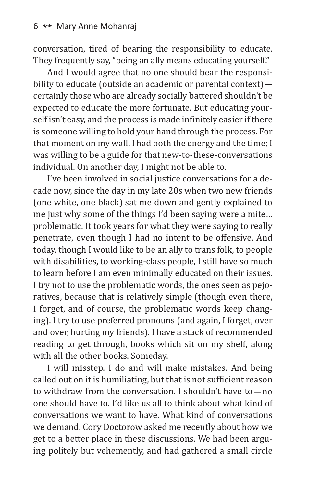conversation, tired of bearing the responsibility to educate. They frequently say, "being an ally means educating yourself."

And I would agree that no one should bear the responsibility to educate (outside an academic or parental context) certainly those who are already socially battered shouldn't be expected to educate the more fortunate. But educating yourself isn't easy, and the process is made infinitely easier if there is someone willing to hold your hand through the process. For that moment on my wall, I had both the energy and the time; I was willing to be a guide for that new-to-these-conversations individual. On another day, I might not be able to.

I've been involved in social justice conversations for a decade now, since the day in my late 20s when two new friends (one white, one black) sat me down and gently explained to me just why some of the things I'd been saying were a mite… problematic. It took years for what they were saying to really penetrate, even though I had no intent to be offensive. And today, though I would like to be an ally to trans folk, to people with disabilities, to working-class people, I still have so much to learn before I am even minimally educated on their issues. I try not to use the problematic words, the ones seen as pejoratives, because that is relatively simple (though even there, I forget, and of course, the problematic words keep changing). I try to use preferred pronouns (and again, I forget, over and over, hurting my friends). I have a stack of recommended reading to get through, books which sit on my shelf, along with all the other books. Someday.

I will misstep. I do and will make mistakes. And being called out on it is humiliating, but that is not sufficient reason to withdraw from the conversation. I shouldn't have to—no one should have to. I'd like us all to think about what kind of conversations we want to have. What kind of conversations we demand. Cory Doctorow asked me recently about how we get to a better place in these discussions. We had been arguing politely but vehemently, and had gathered a small circle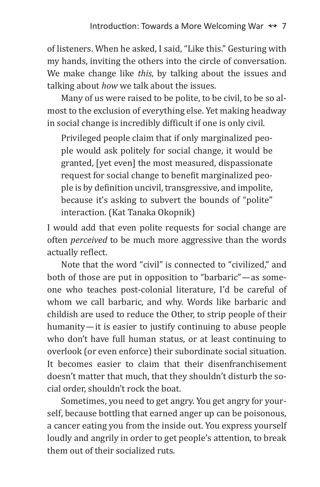of listeners. When he asked, I said, "Like this." Gesturing with my hands, inviting the others into the circle of conversation. We make change like *this*, by talking about the issues and talking about *how* we talk about the issues.

Many of us were raised to be polite, to be civil, to be so almost to the exclusion of everything else. Yet making headway in social change is incredibly difficult if one is only civil.

Privileged people claim that if only marginalized people would ask politely for social change, it would be granted, [yet even] the most measured, dispassionate request for social change to benefit marginalized people is by definition uncivil, transgressive, and impolite, because it's asking to subvert the bounds of "polite" interaction. (Kat Tanaka Okopnik)

I would add that even polite requests for social change are often *perceived* to be much more aggressive than the words actually reflect.

Note that the word "civil" is connected to "civilized," and both of those are put in opposition to "barbaric"—as someone who teaches post-colonial literature, I'd be careful of whom we call barbaric, and why. Words like barbaric and childish are used to reduce the Other, to strip people of their humanity—it is easier to justify continuing to abuse people who don't have full human status, or at least continuing to overlook (or even enforce) their subordinate social situation. It becomes easier to claim that their disenfranchisement doesn't matter that much, that they shouldn't disturb the social order, shouldn't rock the boat.

Sometimes, you need to get angry. You get angry for yourself, because bottling that earned anger up can be poisonous, a cancer eating you from the inside out. You express yourself loudly and angrily in order to get people's attention, to break them out of their socialized ruts.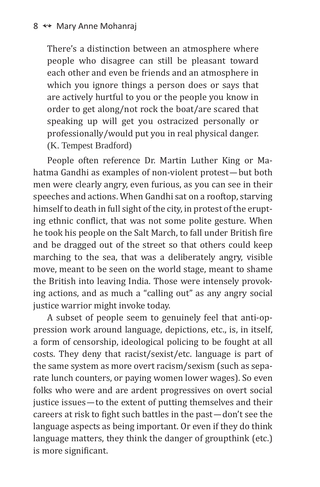There's a distinction between an atmosphere where people who disagree can still be pleasant toward each other and even be friends and an atmosphere in which you ignore things a person does or says that are actively hurtful to you or the people you know in order to get along/not rock the boat/are scared that speaking up will get you ostracized personally or professionally/would put you in real physical danger. (K. Tempest Bradford)

People often reference Dr. Martin Luther King or Mahatma Gandhi as examples of non-violent protest—but both men were clearly angry, even furious, as you can see in their speeches and actions. When Gandhi sat on a rooftop, starving himself to death in full sight of the city, in protest of the erupting ethnic conflict, that was not some polite gesture. When he took his people on the Salt March, to fall under British fire and be dragged out of the street so that others could keep marching to the sea, that was a deliberately angry, visible move, meant to be seen on the world stage, meant to shame the British into leaving India. Those were intensely provoking actions, and as much a "calling out" as any angry social justice warrior might invoke today.

A subset of people seem to genuinely feel that anti-oppression work around language, depictions, etc., is, in itself, a form of censorship, ideological policing to be fought at all costs. They deny that racist/sexist/etc. language is part of the same system as more overt racism/sexism (such as separate lunch counters, or paying women lower wages). So even folks who were and are ardent progressives on overt social justice issues—to the extent of putting themselves and their careers at risk to fight such battles in the past—don't see the language aspects as being important. Or even if they do think language matters, they think the danger of groupthink (etc.) is more significant.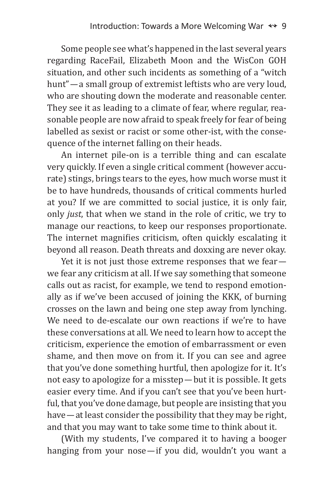Some people see what's happened in the last several years regarding RaceFail, Elizabeth Moon and the WisCon GOH situation, and other such incidents as something of a "witch hunt"—a small group of extremist leftists who are very loud, who are shouting down the moderate and reasonable center. They see it as leading to a climate of fear, where regular, reasonable people are now afraid to speak freely for fear of being labelled as sexist or racist or some other-ist, with the consequence of the internet falling on their heads.

An internet pile-on is a terrible thing and can escalate very quickly. If even a single critical comment (however accurate) stings, brings tears to the eyes, how much worse must it be to have hundreds, thousands of critical comments hurled at you? If we are committed to social justice, it is only fair, only *just*, that when we stand in the role of critic, we try to manage our reactions, to keep our responses proportionate. The internet magnifies criticism, often quickly escalating it beyond all reason. Death threats and doxxing are never okay.

Yet it is not just those extreme responses that we fear we fear any criticism at all. If we say something that someone calls out as racist, for example, we tend to respond emotionally as if we've been accused of joining the KKK, of burning crosses on the lawn and being one step away from lynching. We need to de-escalate our own reactions if we're to have these conversations at all. We need to learn how to accept the criticism, experience the emotion of embarrassment or even shame, and then move on from it. If you can see and agree that you've done something hurtful, then apologize for it. It's not easy to apologize for a misstep—but it is possible. It gets easier every time. And if you can't see that you've been hurtful, that you've done damage, but people are insisting that you have—at least consider the possibility that they may be right, and that you may want to take some time to think about it.

(With my students, I've compared it to having a booger hanging from your nose—if you did, wouldn't you want a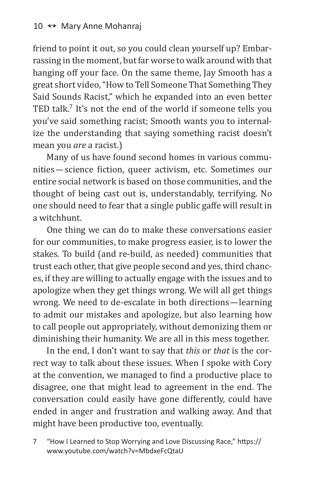friend to point it out, so you could clean yourself up? Embarrassing in the moment, but far worse to walk around with that hanging off your face. On the same theme, Jay Smooth has a great short video, "How to Tell Someone That Something They Said Sounds Racist," which he expanded into an even better TED talk.<sup>7</sup> It's not the end of the world if someone tells you you've said something racist; Smooth wants you to internalize the understanding that saying something racist doesn't mean you *are* a racist.)

Many of us have found second homes in various communities—science fiction, queer activism, etc. Sometimes our entire social network is based on those communities, and the thought of being cast out is, understandably, terrifying. No one should need to fear that a single public gaffe will result in a witchhunt.

One thing we can do to make these conversations easier for our communities, to make progress easier, is to lower the stakes. To build (and re-build, as needed) communities that trust each other, that give people second and yes, third chances, if they are willing to actually engage with the issues and to apologize when they get things wrong. We will all get things wrong. We need to de-escalate in both directions—learning to admit our mistakes and apologize, but also learning how to call people out appropriately, without demonizing them or diminishing their humanity. We are all in this mess together.

In the end, I don't want to say that *this* or *that* is the correct way to talk about these issues. When I spoke with Cory at the convention, we managed to find a productive place to disagree, one that might lead to agreement in the end. The conversation could easily have gone differently, could have ended in anger and frustration and walking away. And that might have been productive too, eventually.

7 "How I Learned to Stop Worrying and Love Discussing Race," https:// www.youtube.com/watch?v=MbdxeFcQtaU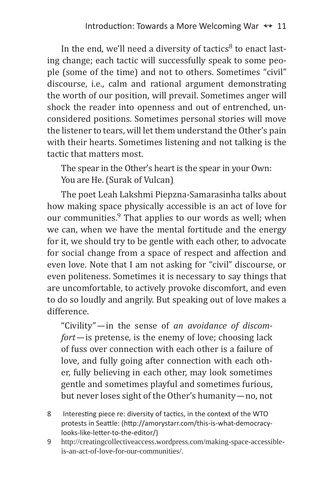In the end, we'll need a diversity of tactics $8$  to enact lasting change; each tactic will successfully speak to some people (some of the time) and not to others. Sometimes "civil" discourse, i.e., calm and rational argument demonstrating the worth of our position, will prevail. Sometimes anger will shock the reader into openness and out of entrenched, unconsidered positions. Sometimes personal stories will move the listener to tears, will let them understand the Other's pain with their hearts. Sometimes listening and not talking is the tactic that matters most.

The spear in the Other's heart is the spear in your Own: You are He. (Surak of Vulcan)

The poet Leah Lakshmi Piepzna-Samarasinha talks about how making space physically accessible is an act of love for our communities. $9$  That applies to our words as well; when we can, when we have the mental fortitude and the energy for it, we should try to be gentle with each other, to advocate for social change from a space of respect and affection and even love. Note that I am not asking for "civil" discourse, or even politeness. Sometimes it is necessary to say things that are uncomfortable, to actively provoke discomfort, and even to do so loudly and angrily. But speaking out of love makes a difference.

"Civility"—in the sense of *an avoidance of discomfort—*is pretense, is the enemy of love; choosing lack of fuss over connection with each other is a failure of love, and fully going after connection with each other, fully believing in each other, may look sometimes gentle and sometimes playful and sometimes furious, but never loses sight of the Other's humanity—no, not

- 8 Interesting piece re: diversity of tactics, in the context of the WTO protests in Seattle: (http://amorystarr.com/this-is-what-democracylooks-like-letter-to-the-editor/)
- 9 http://creatingcollectiveaccess.wordpress.com/making-space-accessibleis-an-act-of-love-for-our-communities/.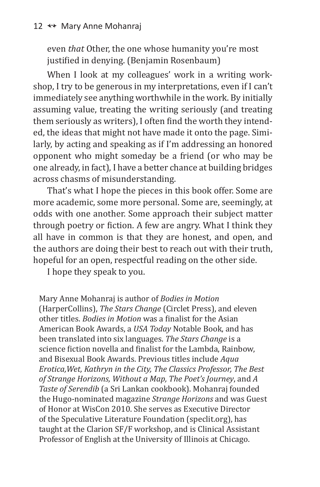even *that* Other, the one whose humanity you're most justified in denying. (Benjamin Rosenbaum)

When I look at my colleagues' work in a writing workshop, I try to be generous in my interpretations, even if I can't immediately see anything worthwhile in the work. By initially assuming value, treating the writing seriously (and treating them seriously as writers), I often find the worth they intended, the ideas that might not have made it onto the page. Similarly, by acting and speaking as if I'm addressing an honored opponent who might someday be a friend (or who may be one already, in fact), I have a better chance at building bridges across chasms of misunderstanding.

That's what I hope the pieces in this book offer. Some are more academic, some more personal. Some are, seemingly, at odds with one another. Some approach their subject matter through poetry or fiction. A few are angry. What I think they all have in common is that they are honest, and open, and the authors are doing their best to reach out with their truth, hopeful for an open, respectful reading on the other side.

I hope they speak to you.

Mary Anne Mohanraj is author of *Bodies in Motion* (HarperCollins), *The Stars Change* (Circlet Press), and eleven other titles. *Bodies in Motion* was a finalist for the Asian American Book Awards, a *USA Today* Notable Book, and has been translated into six languages. *The Stars Change* is a science fiction novella and finalist for the Lambda, Rainbow, and Bisexual Book Awards. Previous titles include *Aqua Erotica,Wet, Kathryn in the City, The Classics Professor, The Best of Strange Horizons, Without a Map, The Poet's Journey*, and *A Taste of Serendib* (a Sri Lankan cookbook). Mohanraj founded the Hugo-nominated magazine *Strange Horizons* and was Guest of Honor at WisCon 2010. She serves as Executive Director of the Speculative Literature Foundation (speclit.org), has taught at the Clarion SF/F workshop, and is Clinical Assistant Professor of English at the University of Illinois at Chicago.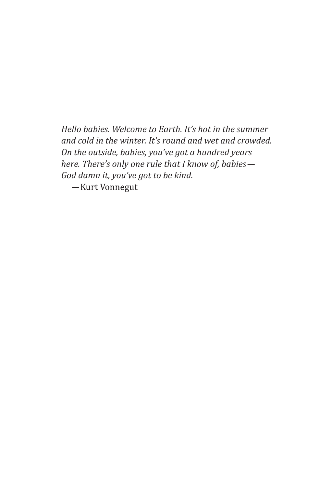*Hello babies. Welcome to Earth. It's hot in the summer and cold in the winter. It's round and wet and crowded. On the outside, babies, you've got a hundred years here. There's only one rule that I know of, babies— God damn it, you've got to be kind. —*Kurt Vonnegut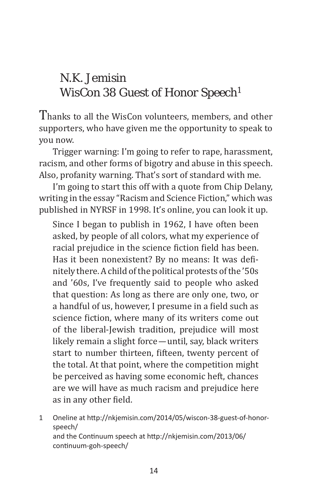#### N.K. Jemisin WisCon 38 Guest of Honor Speech<sup>1</sup>

Thanks to all the WisCon volunteers, members, and other supporters, who have given me the opportunity to speak to you now.

Trigger warning: I'm going to refer to rape, harassment, racism, and other forms of bigotry and abuse in this speech. Also, profanity warning. That's sort of standard with me.

I'm going to start this off with a quote from Chip Delany, writing in the essay "Racism and Science Fiction," which was published in NYRSF in 1998. It's online, you can look it up.

Since I began to publish in 1962, I have often been asked, by people of all colors, what my experience of racial prejudice in the science fiction field has been. Has it been nonexistent? By no means: It was definitely there. A child of the political protests of the '50s and '60s, I've frequently said to people who asked that question: As long as there are only one, two, or a handful of us, however, I presume in a field such as science fiction, where many of its writers come out of the liberal-Jewish tradition, prejudice will most likely remain a slight force—until, say, black writers start to number thirteen, fifteen, twenty percent of the total. At that point, where the competition might be perceived as having some economic heft, chances are we will have as much racism and prejudice here as in any other field.

1 Oneline at http://nkjemisin.com/2014/05/wiscon-38-guest-of-honorspeech/ and the Continuum speech at http://nkjemisin.com/2013/06/ continuum-goh-speech/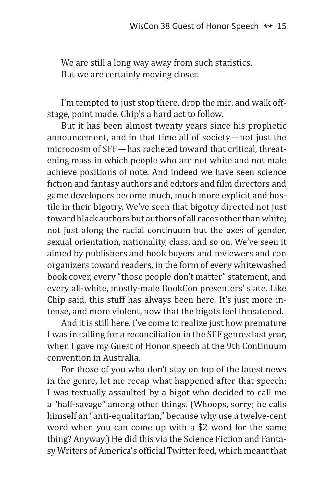We are still a long way away from such statistics. But we are certainly moving closer.

I'm tempted to just stop there, drop the mic, and walk offstage, point made. Chip's a hard act to follow.

But it has been almost twenty years since his prophetic announcement, and in that time all of society—not just the microcosm of SFF—has racheted toward that critical, threatening mass in which people who are not white and not male achieve positions of note. And indeed we have seen science fiction and fantasy authors and editors and film directors and game developers become much, much more explicit and hostile in their bigotry. We've seen that bigotry directed not just toward black authors but authors of all races other than white; not just along the racial continuum but the axes of gender, sexual orientation, nationality, class, and so on. We've seen it aimed by publishers and book buyers and reviewers and con organizers toward readers, in the form of every whitewashed book cover, every "those people don't matter" statement, and every all-white, mostly-male BookCon presenters' slate. Like Chip said, this stuff has always been here. It's just more intense, and more violent, now that the bigots feel threatened.

And it is still here. I've come to realize just how premature I was in calling for a reconciliation in the SFF genres last year, when I gave my Guest of Honor speech at the 9th Continuum convention in Australia.

For those of you who don't stay on top of the latest news in the genre, let me recap what happened after that speech: I was textually assaulted by a bigot who decided to call me a "half-savage" among other things. (Whoops, sorry; he calls himself an "anti-equalitarian," because why use a twelve-cent word when you can come up with a \$2 word for the same thing? Anyway.) He did this via the Science Fiction and Fantasy Writers of America's official Twitter feed, which meant that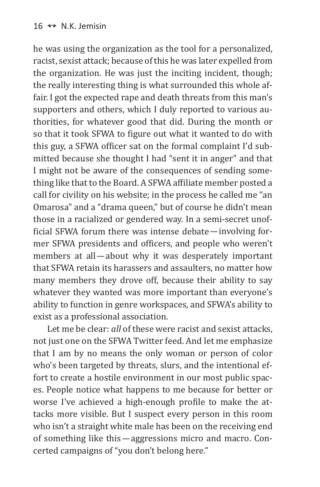he was using the organization as the tool for a personalized, racist, sexist attack; because of this he was later expelled from the organization. He was just the inciting incident, though; the really interesting thing is what surrounded this whole affair. I got the expected rape and death threats from this man's supporters and others, which I duly reported to various authorities, for whatever good that did. During the month or so that it took SFWA to figure out what it wanted to do with this guy, a SFWA officer sat on the formal complaint I'd submitted because she thought I had "sent it in anger" and that I might not be aware of the consequences of sending something like that to the Board. A SFWA affiliate member posted a call for civility on his website; in the process he called me "an Omarosa" and a "drama queen," but of course he didn't mean those in a racialized or gendered way. In a semi-secret unofficial SFWA forum there was intense debate—involving former SFWA presidents and officers, and people who weren't members at all—about why it was desperately important that SFWA retain its harassers and assaulters, no matter how many members they drove off, because their ability to say whatever they wanted was more important than everyone's ability to function in genre workspaces, and SFWA's ability to exist as a professional association.

Let me be clear: *all* of these were racist and sexist attacks, not just one on the SFWA Twitter feed. And let me emphasize that I am by no means the only woman or person of color who's been targeted by threats, slurs, and the intentional effort to create a hostile environment in our most public spaces. People notice what happens to me because for better or worse I've achieved a high-enough profile to make the attacks more visible. But I suspect every person in this room who isn't a straight white male has been on the receiving end of something like this—aggressions micro and macro. Concerted campaigns of "you don't belong here."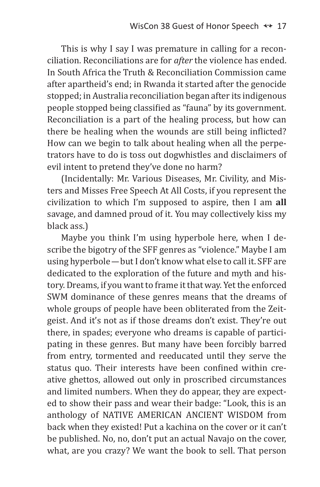This is why I say I was premature in calling for a reconciliation. Reconciliations are for *after* the violence has ended. In South Africa the Truth & Reconciliation Commission came after apartheid's end; in Rwanda it started after the genocide stopped; in Australia reconciliation began after its indigenous people stopped being classified as "fauna" by its government. Reconciliation is a part of the healing process, but how can there be healing when the wounds are still being inflicted? How can we begin to talk about healing when all the perpetrators have to do is toss out dogwhistles and disclaimers of evil intent to pretend they've done no harm?

(Incidentally: Mr. Various Diseases, Mr. Civility, and Misters and Misses Free Speech At All Costs, if you represent the civilization to which I'm supposed to aspire, then I am **all** savage, and damned proud of it. You may collectively kiss my black ass.)

Maybe you think I'm using hyperbole here, when I describe the bigotry of the SFF genres as "violence." Maybe I am using hyperbole—but I don't know what else to call it. SFF are dedicated to the exploration of the future and myth and history. Dreams, if you want to frame it that way. Yet the enforced SWM dominance of these genres means that the dreams of whole groups of people have been obliterated from the Zeitgeist. And it's not as if those dreams don't exist. They're out there, in spades; everyone who dreams is capable of participating in these genres. But many have been forcibly barred from entry, tormented and reeducated until they serve the status quo. Their interests have been confined within creative ghettos, allowed out only in proscribed circumstances and limited numbers. When they do appear, they are expected to show their pass and wear their badge: "Look, this is an anthology of NATIVE AMERICAN ANCIENT WISDOM from back when they existed! Put a kachina on the cover or it can't be published. No, no, don't put an actual Navajo on the cover, what, are you crazy? We want the book to sell. That person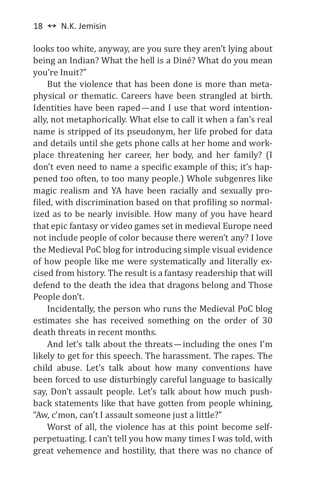looks too white, anyway, are you sure they aren't lying about being an Indian? What the hell is a Diné? What do you mean you're Inuit?"

But the violence that has been done is more than metaphysical or thematic. Careers have been strangled at birth. Identities have been raped—and I use that word intentionally, not metaphorically. What else to call it when a fan's real name is stripped of its pseudonym, her life probed for data and details until she gets phone calls at her home and workplace threatening her career, her body, and her family? (I don't even need to name a specific example of this; it's happened too often, to too many people.) Whole subgenres like magic realism and YA have been racially and sexually profiled, with discrimination based on that profiling so normalized as to be nearly invisible. How many of you have heard that epic fantasy or video games set in medieval Europe need not include people of color because there weren't any? I love the Medieval PoC blog for introducing simple visual evidence of how people like me were systematically and literally excised from history. The result is a fantasy readership that will defend to the death the idea that dragons belong and Those People don't.

Incidentally, the person who runs the Medieval PoC blog estimates she has received something on the order of 30 death threats in recent months.

And let's talk about the threats—including the ones I'm likely to get for this speech. The harassment. The rapes. The child abuse. Let's talk about how many conventions have been forced to use disturbingly careful language to basically say, Don't assault people. Let's talk about how much pushback statements like that have gotten from people whining, "Aw, c'mon, can't I assault someone just a little?"

Worst of all, the violence has at this point become selfperpetuating. I can't tell you how many times I was told, with great vehemence and hostility, that there was no chance of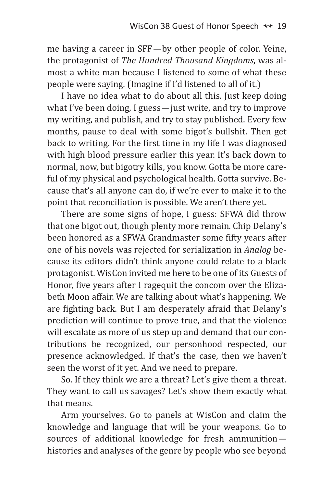me having a career in SFF—by other people of color. Yeine, the protagonist of *The Hundred Thousand Kingdoms*, was almost a white man because I listened to some of what these people were saying. (Imagine if I'd listened to all of it.)

I have no idea what to do about all this. Just keep doing what I've been doing, I guess—just write, and try to improve my writing, and publish, and try to stay published. Every few months, pause to deal with some bigot's bullshit. Then get back to writing. For the first time in my life I was diagnosed with high blood pressure earlier this year. It's back down to normal, now, but bigotry kills, you know. Gotta be more careful of my physical and psychological health. Gotta survive. Because that's all anyone can do, if we're ever to make it to the point that reconciliation is possible. We aren't there yet.

There are some signs of hope, I guess: SFWA did throw that one bigot out, though plenty more remain. Chip Delany's been honored as a SFWA Grandmaster some fifty years after one of his novels was rejected for serialization in *Analog* because its editors didn't think anyone could relate to a black protagonist. WisCon invited me here to be one of its Guests of Honor, five years after I ragequit the concom over the Elizabeth Moon affair. We are talking about what's happening. We are fighting back. But I am desperately afraid that Delany's prediction will continue to prove true, and that the violence will escalate as more of us step up and demand that our contributions be recognized, our personhood respected, our presence acknowledged. If that's the case, then we haven't seen the worst of it yet. And we need to prepare.

So. If they think we are a threat? Let's give them a threat. They want to call us savages? Let's show them exactly what that means.

Arm yourselves. Go to panels at WisCon and claim the knowledge and language that will be your weapons. Go to sources of additional knowledge for fresh ammunition histories and analyses of the genre by people who see beyond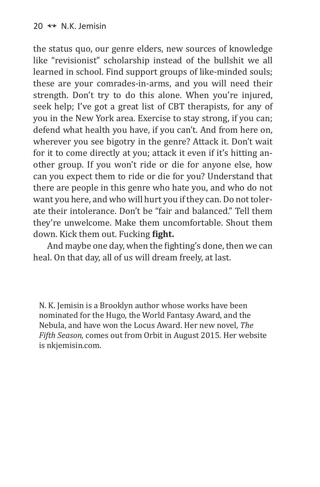the status quo, our genre elders, new sources of knowledge like "revisionist" scholarship instead of the bullshit we all learned in school. Find support groups of like-minded souls; these are your comrades-in-arms, and you will need their strength. Don't try to do this alone. When you're injured, seek help; I've got a great list of CBT therapists, for any of you in the New York area. Exercise to stay strong, if you can; defend what health you have, if you can't. And from here on, wherever you see bigotry in the genre? Attack it. Don't wait for it to come directly at you; attack it even if it's hitting another group. If you won't ride or die for anyone else, how can you expect them to ride or die for you? Understand that there are people in this genre who hate you, and who do not want you here, and who will hurt you if they can. Do not tolerate their intolerance. Don't be "fair and balanced." Tell them they're unwelcome. Make them uncomfortable. Shout them down. Kick them out. Fucking **fight.**

And maybe one day, when the fighting's done, then we can heal. On that day, all of us will dream freely, at last.

N. K. Jemisin is a Brooklyn author whose works have been nominated for the Hugo, the World Fantasy Award, and the Nebula, and have won the Locus Award. Her new novel, *The Fifth Season,* comes out from Orbit in August 2015. Her website is nkjemisin.com.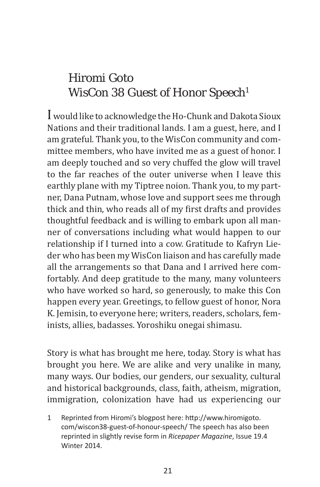### Hiromi Goto WisCon 38 Guest of Honor Speech<sup>1</sup>

I would like to acknowledge the Ho-Chunk and Dakota Sioux Nations and their traditional lands. I am a guest, here, and I am grateful. Thank you, to the WisCon community and committee members, who have invited me as a guest of honor. I am deeply touched and so very chuffed the glow will travel to the far reaches of the outer universe when I leave this earthly plane with my Tiptree noion. Thank you, to my partner, Dana Putnam, whose love and support sees me through thick and thin, who reads all of my first drafts and provides thoughtful feedback and is willing to embark upon all manner of conversations including what would happen to our relationship if I turned into a cow. Gratitude to Kafryn Lieder who has been my WisCon liaison and has carefully made all the arrangements so that Dana and I arrived here comfortably. And deep gratitude to the many, many volunteers who have worked so hard, so generously, to make this Con happen every year. Greetings, to fellow guest of honor, Nora K. Jemisin, to everyone here; writers, readers, scholars, feminists, allies, badasses. Yoroshiku onegai shimasu.

Story is what has brought me here, today. Story is what has brought you here. We are alike and very unalike in many, many ways. Our bodies, our genders, our sexuality, cultural and historical backgrounds, class, faith, atheism, migration, immigration, colonization have had us experiencing our

1 Reprinted from Hiromi's blogpost here: http://www.hiromigoto. com/wiscon38-guest-of-honour-speech/ The speech has also been reprinted in slightly revise form in *Ricepaper Magazine*, Issue 19.4 Winter 2014.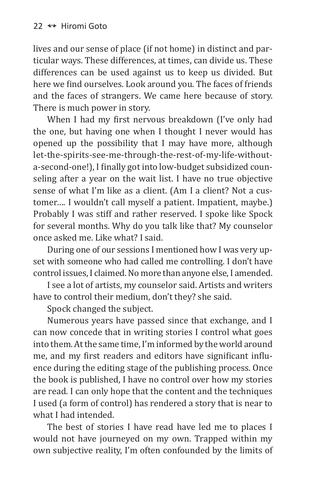lives and our sense of place (if not home) in distinct and particular ways. These differences, at times, can divide us. These differences can be used against us to keep us divided. But here we find ourselves. Look around you. The faces of friends and the faces of strangers. We came here because of story. There is much power in story.

When I had my first nervous breakdown (I've only had the one, but having one when I thought I never would has opened up the possibility that I may have more, although let-the-spirits-see-me-through-the-rest-of-my-life-withouta-second-one!), I finally got into low-budget subsidized counseling after a year on the wait list. I have no true objective sense of what I'm like as a client. (Am I a client? Not a customer…. I wouldn't call myself a patient. Impatient, maybe.) Probably I was stiff and rather reserved. I spoke like Spock for several months. Why do you talk like that? My counselor once asked me. Like what? I said.

During one of our sessions I mentioned how I was very upset with someone who had called me controlling. I don't have control issues, I claimed. No more than anyone else, I amended.

I see a lot of artists, my counselor said. Artists and writers have to control their medium, don't they? she said.

Spock changed the subject.

Numerous years have passed since that exchange, and I can now concede that in writing stories I control what goes into them. At the same time, I'm informed by the world around me, and my first readers and editors have significant influence during the editing stage of the publishing process. Once the book is published, I have no control over how my stories are read. I can only hope that the content and the techniques I used (a form of control) has rendered a story that is near to what I had intended.

The best of stories I have read have led me to places I would not have journeyed on my own. Trapped within my own subjective reality, I'm often confounded by the limits of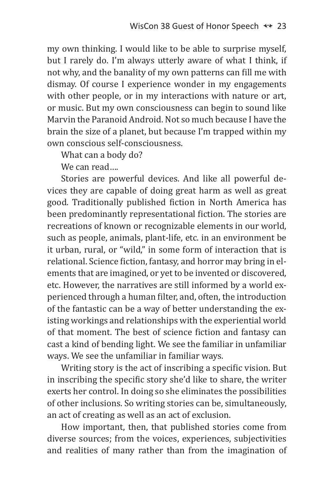my own thinking. I would like to be able to surprise myself, but I rarely do. I'm always utterly aware of what I think, if not why, and the banality of my own patterns can fill me with dismay. Of course I experience wonder in my engagements with other people, or in my interactions with nature or art, or music. But my own consciousness can begin to sound like Marvin the Paranoid Android. Not so much because I have the brain the size of a planet, but because I'm trapped within my own conscious self-consciousness.

What can a body do?

We can read....

Stories are powerful devices. And like all powerful devices they are capable of doing great harm as well as great good. Traditionally published fiction in North America has been predominantly representational fiction. The stories are recreations of known or recognizable elements in our world, such as people, animals, plant-life, etc. in an environment be it urban, rural, or "wild," in some form of interaction that is relational. Science fiction, fantasy, and horror may bring in elements that are imagined, or yet to be invented or discovered, etc. However, the narratives are still informed by a world experienced through a human filter, and, often, the introduction of the fantastic can be a way of better understanding the existing workings and relationships with the experiential world of that moment. The best of science fiction and fantasy can cast a kind of bending light. We see the familiar in unfamiliar ways. We see the unfamiliar in familiar ways.

Writing story is the act of inscribing a specific vision. But in inscribing the specific story she'd like to share, the writer exerts her control. In doing so she eliminates the possibilities of other inclusions. So writing stories can be, simultaneously, an act of creating as well as an act of exclusion.

How important, then, that published stories come from diverse sources; from the voices, experiences, subjectivities and realities of many rather than from the imagination of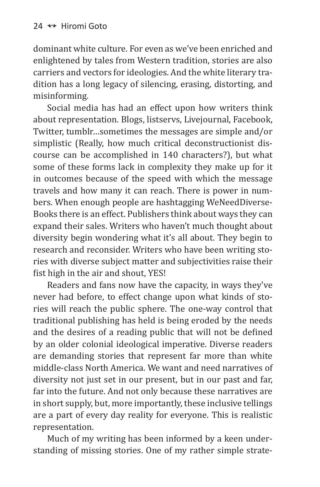dominant white culture. For even as we've been enriched and enlightened by tales from Western tradition, stories are also carriers and vectors for ideologies. And the white literary tradition has a long legacy of silencing, erasing, distorting, and misinforming.

Social media has had an effect upon how writers think about representation. Blogs, listservs, Livejournal, Facebook, Twitter, tumblr…sometimes the messages are simple and/or simplistic (Really, how much critical deconstructionist discourse can be accomplished in 140 characters?), but what some of these forms lack in complexity they make up for it in outcomes because of the speed with which the message travels and how many it can reach. There is power in numbers. When enough people are hashtagging WeNeedDiverse-Books there is an effect. Publishers think about ways they can expand their sales. Writers who haven't much thought about diversity begin wondering what it's all about. They begin to research and reconsider. Writers who have been writing stories with diverse subject matter and subjectivities raise their fist high in the air and shout, YES!

Readers and fans now have the capacity, in ways they've never had before, to effect change upon what kinds of stories will reach the public sphere. The one-way control that traditional publishing has held is being eroded by the needs and the desires of a reading public that will not be defined by an older colonial ideological imperative. Diverse readers are demanding stories that represent far more than white middle-class North America. We want and need narratives of diversity not just set in our present, but in our past and far, far into the future. And not only because these narratives are in short supply, but, more importantly, these inclusive tellings are a part of every day reality for everyone. This is realistic representation.

Much of my writing has been informed by a keen understanding of missing stories. One of my rather simple strate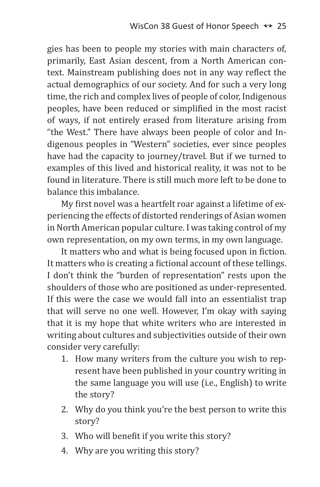gies has been to people my stories with main characters of, primarily, East Asian descent, from a North American context. Mainstream publishing does not in any way reflect the actual demographics of our society. And for such a very long time, the rich and complex lives of people of color, Indigenous peoples, have been reduced or simplified in the most racist of ways, if not entirely erased from literature arising from "the West." There have always been people of color and Indigenous peoples in "Western" societies, ever since peoples have had the capacity to journey/travel. But if we turned to examples of this lived and historical reality, it was not to be found in literature. There is still much more left to be done to balance this imbalance.

My first novel was a heartfelt roar against a lifetime of experiencing the effects of distorted renderings of Asian women in North American popular culture. I was taking control of my own representation, on my own terms, in my own language.

It matters who and what is being focused upon in fiction. It matters who is creating a fictional account of these tellings. I don't think the "burden of representation" rests upon the shoulders of those who are positioned as under-represented. If this were the case we would fall into an essentialist trap that will serve no one well. However, I'm okay with saying that it is my hope that white writers who are interested in writing about cultures and subjectivities outside of their own consider very carefully:

- 1. How many writers from the culture you wish to represent have been published in your country writing in the same language you will use (i.e., English) to write the story?
- 2. Why do you think you're the best person to write this story?
- 3. Who will benefit if you write this story?
- 4. Why are you writing this story?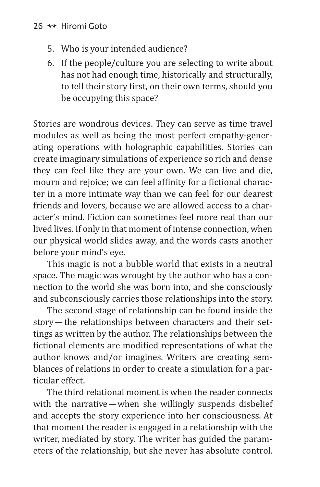- 5. Who is your intended audience?
- 6. If the people/culture you are selecting to write about has not had enough time, historically and structurally, to tell their story first, on their own terms, should you be occupying this space?

Stories are wondrous devices. They can serve as time travel modules as well as being the most perfect empathy-generating operations with holographic capabilities. Stories can create imaginary simulations of experience so rich and dense they can feel like they are your own. We can live and die, mourn and rejoice; we can feel affinity for a fictional character in a more intimate way than we can feel for our dearest friends and lovers, because we are allowed access to a character's mind. Fiction can sometimes feel more real than our lived lives. If only in that moment of intense connection, when our physical world slides away, and the words casts another before your mind's eye.

This magic is not a bubble world that exists in a neutral space. The magic was wrought by the author who has a connection to the world she was born into, and she consciously and subconsciously carries those relationships into the story.

The second stage of relationship can be found inside the story— the relationships between characters and their settings as written by the author. The relationships between the fictional elements are modified representations of what the author knows and/or imagines. Writers are creating semblances of relations in order to create a simulation for a particular effect.

The third relational moment is when the reader connects with the narrative—when she willingly suspends disbelief and accepts the story experience into her consciousness. At that moment the reader is engaged in a relationship with the writer, mediated by story. The writer has guided the parameters of the relationship, but she never has absolute control.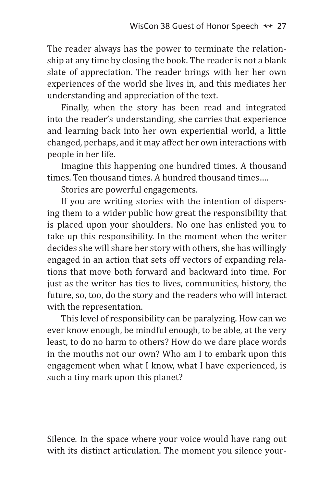The reader always has the power to terminate the relationship at any time by closing the book. The reader is not a blank slate of appreciation. The reader brings with her her own experiences of the world she lives in, and this mediates her understanding and appreciation of the text.

Finally, when the story has been read and integrated into the reader's understanding, she carries that experience and learning back into her own experiential world, a little changed, perhaps, and it may affect her own interactions with people in her life.

Imagine this happening one hundred times. A thousand times. Ten thousand times. A hundred thousand times….

Stories are powerful engagements.

If you are writing stories with the intention of dispersing them to a wider public how great the responsibility that is placed upon your shoulders. No one has enlisted you to take up this responsibility. In the moment when the writer decides she will share her story with others, she has willingly engaged in an action that sets off vectors of expanding relations that move both forward and backward into time. For just as the writer has ties to lives, communities, history, the future, so, too, do the story and the readers who will interact with the representation.

This level of responsibility can be paralyzing. How can we ever know enough, be mindful enough, to be able, at the very least, to do no harm to others? How do we dare place words in the mouths not our own? Who am I to embark upon this engagement when what I know, what I have experienced, is such a tiny mark upon this planet?

Silence. In the space where your voice would have rang out with its distinct articulation. The moment you silence your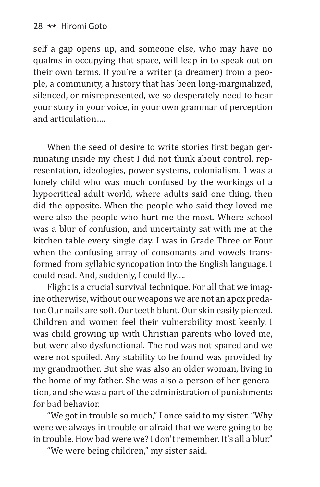self a gap opens up, and someone else, who may have no qualms in occupying that space, will leap in to speak out on their own terms. If you're a writer (a dreamer) from a people, a community, a history that has been long-marginalized, silenced, or misrepresented, we so desperately need to hear your story in your voice, in your own grammar of perception and articulation….

When the seed of desire to write stories first began germinating inside my chest I did not think about control, representation, ideologies, power systems, colonialism. I was a lonely child who was much confused by the workings of a hypocritical adult world, where adults said one thing, then did the opposite. When the people who said they loved me were also the people who hurt me the most. Where school was a blur of confusion, and uncertainty sat with me at the kitchen table every single day. I was in Grade Three or Four when the confusing array of consonants and vowels transformed from syllabic syncopation into the English language. I could read. And, suddenly, I could fly….

Flight is a crucial survival technique. For all that we imagine otherwise, without our weapons we are not an apex predator. Our nails are soft. Our teeth blunt. Our skin easily pierced. Children and women feel their vulnerability most keenly. I was child growing up with Christian parents who loved me, but were also dysfunctional. The rod was not spared and we were not spoiled. Any stability to be found was provided by my grandmother. But she was also an older woman, living in the home of my father. She was also a person of her generation, and she was a part of the administration of punishments for bad behavior.

"We got in trouble so much," I once said to my sister. "Why were we always in trouble or afraid that we were going to be in trouble. How bad were we? I don't remember. It's all a blur."

"We were being children," my sister said.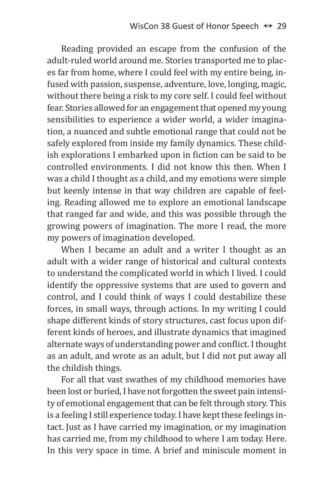Reading provided an escape from the confusion of the adult-ruled world around me. Stories transported me to places far from home, where I could feel with my entire being, infused with passion, suspense, adventure, love, longing, magic, without there being a risk to my core self. I could feel without fear. Stories allowed for an engagement that opened my young sensibilities to experience a wider world, a wider imagination, a nuanced and subtle emotional range that could not be safely explored from inside my family dynamics. These childish explorations I embarked upon in fiction can be said to be controlled environments. I did not know this then. When I was a child I thought as a child, and my emotions were simple but keenly intense in that way children are capable of feeling. Reading allowed me to explore an emotional landscape that ranged far and wide, and this was possible through the growing powers of imagination. The more I read, the more my powers of imagination developed.

When I became an adult and a writer I thought as an adult with a wider range of historical and cultural contexts to understand the complicated world in which I lived. I could identify the oppressive systems that are used to govern and control, and I could think of ways I could destabilize these forces, in small ways, through actions. In my writing I could shape different kinds of story structures, cast focus upon different kinds of heroes, and illustrate dynamics that imagined alternate ways of understanding power and conflict.Ithought as an adult, and wrote as an adult, but I did not put away all the childish things.

For all that vast swathes of my childhood memories have been lost or buried, I have not forgotten the sweet pain intensity of emotional engagement that can be felt through story. This is a feeling I still experience today. I have kept these feelings intact. Just as I have carried my imagination, or my imagination has carried me, from my childhood to where I am today. Here. In this very space in time. A brief and miniscule moment in